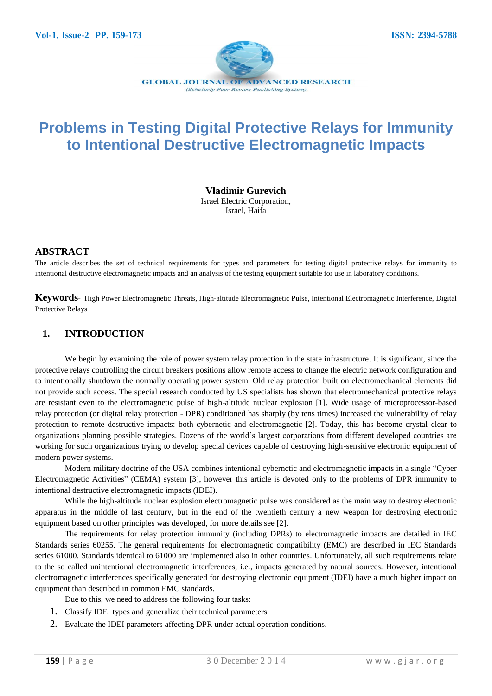

# **Problems in Testing Digital Protective Relays for Immunity to Intentional Destructive Electromagnetic Impacts**

**Vladimir Gurevich**

Israel Electric Corporation, Israel, Haifa

## **ABSTRACT**

The article describes the set of technical requirements for types and parameters for testing digital protective relays for immunity to intentional destructive electromagnetic impacts and an analysis of the testing equipment suitable for use in laboratory conditions.

**Keywords**- High Power Electromagnetic Threats, High-altitude Electromagnetic Pulse, Intentional Electromagnetic Interference, Digital Protective Relays

## **1. INTRODUCTION**

We begin by examining the role of power system relay protection in the state infrastructure. It is significant, since the protective relays controlling the circuit breakers positions allow remote access to change the electric network configuration and to intentionally shutdown the normally operating power system. Old relay protection built on electromechanical elements did not provide such access. The special research conducted by US specialists has shown that electromechanical protective relays are resistant even to the electromagnetic pulse of high-altitude nuclear explosion [1]. Wide usage of microprocessor-based relay protection (or digital relay protection - DPR) conditioned has sharply (by tens times) increased the vulnerability of relay protection to remote destructive impacts: both cybernetic and electromagnetic [2]. Today, this has become crystal clear to organizations planning possible strategies. Dozens of the world's largest corporations from different developed countries are working for such organizations trying to develop special devices capable of destroying high-sensitive electronic equipment of modern power systems.

Modern military doctrine of the USA combines intentional cybernetic and electromagnetic impacts in a single "Cyber Electromagnetic Activities" (CEMA) system [3], however this article is devoted only to the problems of DPR immunity to intentional destructive electromagnetic impacts (IDEI).

While the high-altitude nuclear explosion electromagnetic pulse was considered as the main way to destroy electronic apparatus in the middle of last century, but in the end of the twentieth century a new weapon for destroying electronic equipment based on other principles was developed, for more details see [2].

The requirements for relay protection immunity (including DPRs) to electromagnetic impacts are detailed in IEC Standards series 60255. The general requirements for electromagnetic compatibility (EMC) are described in IEC Standards series 61000. Standards identical to 61000 are implemented also in other countries. Unfortunately, all such requirements relate to the so called unintentional electromagnetic interferences, i.e., impacts generated by natural sources. However, intentional electromagnetic interferences specifically generated for destroying electronic equipment (IDEI) have a much higher impact on equipment than described in common EMC standards.

Due to this, we need to address the following four tasks:

- 1. Classify IDEI types and generalize their technical parameters
- 2. Evaluate the IDEI parameters affecting DPR under actual operation conditions.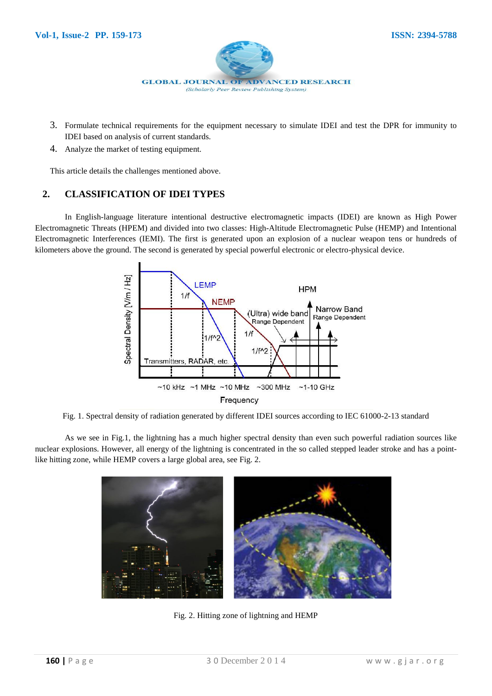

- 3. Formulate technical requirements for the equipment necessary to simulate IDEI and test the DPR for immunity to IDEI based on analysis of current standards.
- 4. Analyze the market of testing equipment.

This article details the challenges mentioned above.

# **2. CLASSIFICATION OF IDEI TYPES**

In English-language literature intentional destructive electromagnetic impacts (IDEI) are known as High Power Electromagnetic Threats (HPEM) and divided into two classes: High-Altitude Electromagnetic Pulse (HEMP) and Intentional Electromagnetic Interferences (IEMI). The first is generated upon an explosion of a nuclear weapon tens or hundreds of kilometers above the ground. The second is generated by special powerful electronic or electro-physical device.



Fig. 1. Spectral density of radiation generated by different IDEI sources according to IEC 61000-2-13 standard

As we see in Fig.1, the lightning has a much higher spectral density than even such powerful radiation sources like nuclear explosions. However, all energy of the lightning is concentrated in the so called stepped leader stroke and has a pointlike hitting zone, while HEMP covers a large global area, see Fig. 2.



Fig. 2. Hitting zone of lightning and HEMP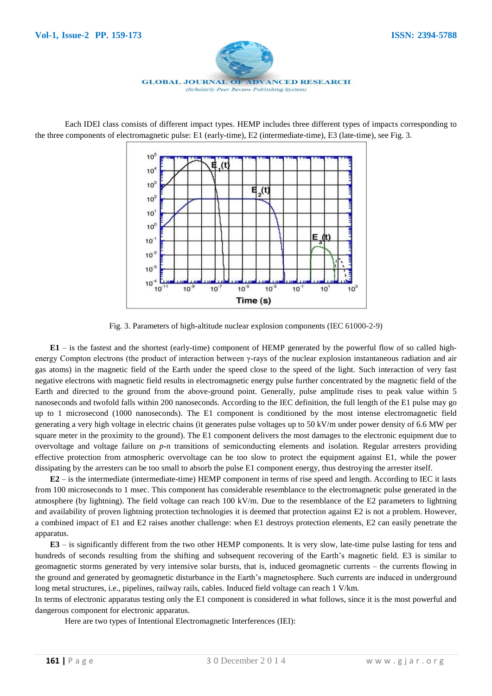

Each IDEI class consists of different impact types. HEMP includes three different types of impacts corresponding to the three components of electromagnetic pulse: Е1 (early-time), Е2 (intermediate-time), Е3 (late-time), see Fig. 3.



Fig. 3. Parameters of high-altitude nuclear explosion components (IEC 61000-2-9)

**E1** – is the fastest and the shortest (early-time) component of HEMP generated by the powerful flow of so called highenergy Compton electrons (the product of interaction between γ-rays of the nuclear explosion instantaneous radiation and air gas atoms) in the magnetic field of the Earth under the speed close to the speed of the light. Such interaction of very fast negative electrons with magnetic field results in electromagnetic energy pulse further concentrated by the magnetic field of the Earth and directed to the ground from the above-ground point. Generally, pulse amplitude rises to peak value within 5 nanoseconds and twofold falls within 200 nanoseconds. According to the IEC definition, the full length of the E1 pulse may go up to 1 microsecond (1000 nanoseconds). The E1 component is conditioned by the most intense electromagnetic field generating a very high voltage in electric chains (it generates pulse voltages up to 50 kV/m under power density of 6.6 MW per square meter in the proximity to the ground). The E1 component delivers the most damages to the electronic equipment due to overvoltage and voltage failure on *p-n* transitions of semiconducting elements and isolation. Regular arresters providing effective protection from atmospheric overvoltage can be too slow to protect the equipment against E1, while the power dissipating by the arresters can be too small to absorb the pulse E1 component energy, thus destroying the arrester itself.

**E2** – is the intermediate (intermediate-time) HEMP component in terms of rise speed and length. According to IEC it lasts from 100 microseconds to 1 msec. This component has considerable resemblance to the electromagnetic pulse generated in the atmosphere (by lightning). The field voltage can reach 100 kV/m. Due to the resemblance of the E2 parameters to lightning and availability of proven lightning protection technologies it is deemed that protection against E2 is not a problem. However, a combined impact of E1 and E2 raises another challenge: when E1 destroys protection elements, E2 can easily penetrate the apparatus.

**E3** – is significantly different from the two other HEMP components. It is very slow, late-time pulse lasting for tens and hundreds of seconds resulting from the shifting and subsequent recovering of the Earth's magnetic field. E3 is similar to geomagnetic storms generated by very intensive solar bursts, that is, induced geomagnetic currents – the currents flowing in the ground and generated by geomagnetic disturbance in the Earth's magnetosphere. Such currents are induced in underground long metal structures, i.e., pipelines, railway rails, cables. Induced field voltage can reach 1 V/km.

In terms of electronic apparatus testing only the E1 component is considered in what follows, since it is the most powerful and dangerous component for electronic apparatus.

Here are two types of Intentional Electromagnetic Interferences (IEI):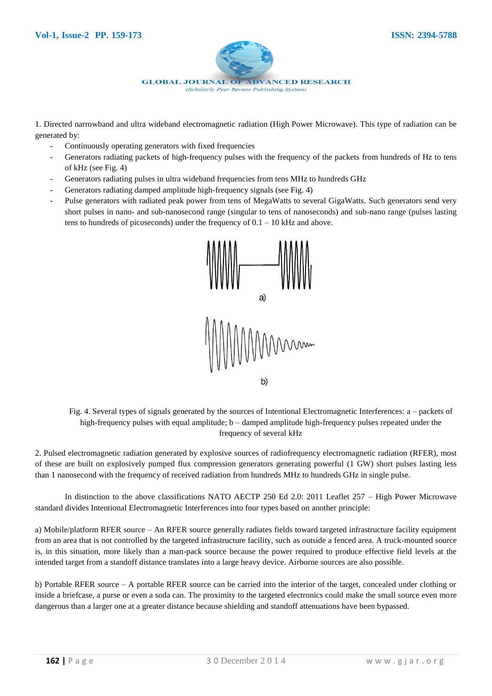

1. Directed narrowband and ultra wideband electromagnetic radiation (High Power Microwave). This type of radiation can be generated by:

- Continuously operating generators with fixed frequencies
- Generators radiating packets of high-frequency pulses with the frequency of the packets from hundreds of Hz to tens of kHz (see Fig. 4)
- Generators radiating pulses in ultra wideband frequencies from tens MHz to hundreds GHz
- Generators radiating damped amplitude high-frequency signals (see Fig. 4)
- Pulse generators with radiated peak power from tens of MegaWatts to several GigaWatts. Such generators send very short pulses in nano- and sub-nanosecond range (singular to tens of nanoseconds) and sub-nano range (pulses lasting tens to hundreds of picoseconds) under the frequency of  $0.1 - 10$  kHz and above.



Fig. 4. Several types of signals generated by the sources of Intentional Electromagnetic Interferences: a – packets of high-frequency pulses with equal amplitude; b – damped amplitude high-frequency pulses repeated under the frequency of several kHz

2. Pulsed electromagnetic radiation generated by explosive sources of radiofrequency electromagnetic radiation (RFER), most of these are built on explosively pumped flux compression generators generating powerful (1 GW) short pulses lasting less than 1 nanosecond with the frequency of received radiation from hundreds MHz to hundreds GHz in single pulse.

In distinction to the above classifications NATO AECTP 250 Ed 2.0: 2011 Leaflet 257 – High Power Microwave standard divides Intentional Electromagnetic Interferences into four types based on another principle:

а) Mobile/platform RFER source – An RFER source generally radiates fields toward targeted infrastructure facility equipment from an area that is not controlled by the targeted infrastructure facility, such as outside a fenced area. A truck-mounted source is, in this situation, more likely than a man-pack source because the power required to produce effective field levels at the intended target from a standoff distance translates into a large heavy device. Airborne sources are also possible.

b) Portable RFER source – A portable RFER source can be carried into the interior of the target, concealed under clothing or inside a briefcase, a purse or even a soda can. The proximity to the targeted electronics could make the small source even more dangerous than a larger one at a greater distance because shielding and standoff attenuations have been bypassed.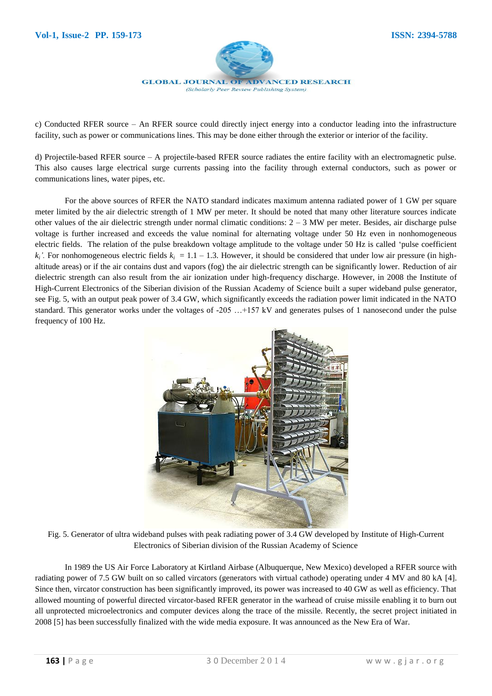

(Scholarly Peer Review Publishing System)

c) Conducted RFER source – An RFER source could directly inject energy into a conductor leading into the infrastructure facility, such as power or communications lines. This may be done either through the exterior or interior of the facility.

d) Projectile-based RFER source – A projectile-based RFER source radiates the entire facility with an electromagnetic pulse. This also causes large electrical surge currents passing into the facility through external conductors, such as power or communications lines, water pipes, etc.

For the above sources of RFER the NATO standard indicates maximum antenna radiated power of 1 GW per square meter limited by the air dielectric strength of 1 MW per meter. It should be noted that many other literature sources indicate other values of the air dielectric strength under normal climatic conditions:  $2 - 3$  MW per meter. Besides, air discharge pulse voltage is further increased and exceeds the value nominal for alternating voltage under 50 Hz even in nonhomogeneous electric fields. The relation of the pulse breakdown voltage amplitude to the voltage under 50 Hz is called 'pulse coefficient  $k_i$ <sup>'</sup>. For nonhomogeneous electric fields  $k_i = 1.1 - 1.3$ . However, it should be considered that under low air pressure (in highaltitude areas) or if the air contains dust and vapors (fog) the air dielectric strength can be significantly lower. Reduction of air dielectric strength can also result from the air ionization under high-frequency discharge. However, in 2008 the Institute of High-Current Electronics of the Siberian division of the Russian Academy of Science built a super wideband pulse generator, see Fig. 5, with an output peak power of 3.4 GW, which significantly exceeds the radiation power limit indicated in the NATO standard. This generator works under the voltages of -205 …+157 kV and generates pulses of 1 nanosecond under the pulse frequency of 100 Hz.



Fig. 5. Generator of ultra wideband pulses with peak radiating power of 3.4 GW developed by Institute of High-Current Electronics of Siberian division of the Russian Academy of Science

In 1989 the US Air Force Laboratory at Kirtland Airbase (Albuquerque, New Mexico) developed a RFER source with radiating power of 7.5 GW built on so called vircators (generators with virtual cathode) operating under 4 MV and 80 kA [4]. Since then, vircator construction has been significantly improved, its power was increased to 40 GW as well as efficiency. That allowed mounting of powerful directed vircator-based RFER generator in the warhead of cruise missile enabling it to burn out all unprotected microelectronics and computer devices along the trace of the missile. Recently, the secret project initiated in 2008 [5] has been successfully finalized with the wide media exposure. It was announced as the New Era of War.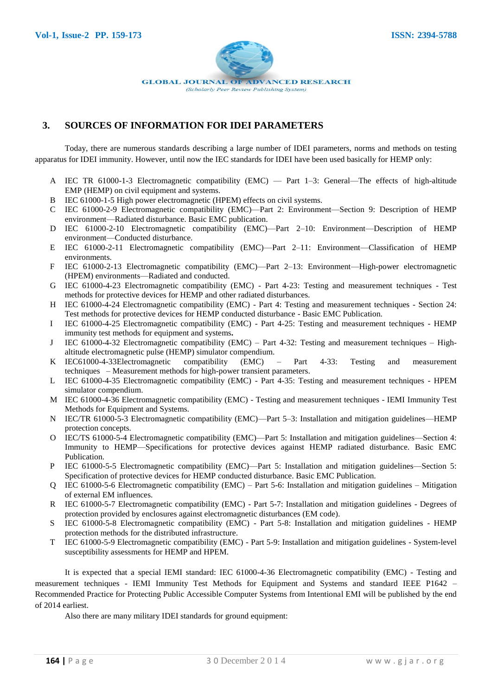

## **3. SOURCES OF INFORMATION FOR IDEI PARAMETERS**

Today, there are numerous standards describing a large number of IDEI parameters, norms and methods on testing apparatus for IDEI immunity. However, until now the IEC standards for IDEI have been used basically for HEMP only:

- A IEC TR 61000-1-3 Electromagnetic compatibility (EMC) Part 1–3: General—The effects of high-altitude EMP (HEMP) on civil equipment and systems.
- B IEC 61000-1-5 High power electromagnetic (HPEM) effects on civil systems.
- C IEC 61000-2-9 Electromagnetic compatibility (EMC)—Part 2: Environment—Section 9: Description of HEMP environment—Radiated disturbance. Basic EMC publication.
- D IEC 61000-2-10 Electromagnetic compatibility (EMC)—Part 2–10: Environment—Description of HEMP environment—Conducted disturbance.
- E IEC 61000-2-11 Electromagnetic compatibility (EMC)—Part 2–11: Environment—Classification of HEMP environments.
- F IEC 61000-2-13 Electromagnetic compatibility (EMC)—Part 2–13: Environment—High-power electromagnetic (HPEM) environments—Radiated and conducted.
- G IEC 61000-4-23 Electromagnetic compatibility (EMC) Part 4-23: Testing and measurement techniques Test methods for protective devices for HEMP and other radiated disturbances.
- H IEC 61000-4-24 Electromagnetic compatibility (EMC) Part 4: Testing and measurement techniques Section 24: Test methods for protective devices for HEMP conducted disturbance - Basic EMC Publication.
- I IEC 61000-4-25 Electromagnetic compatibility (EMC) Part 4-25: Testing and measurement techniques HEMP immunity test methods for equipment and systems**.**
- J IEC 61000-4-32 Electromagnetic compatibility (EMC) Part 4-32: Testing and measurement techniques Highaltitude electromagnetic pulse (HEMP) simulator compendium.
- K IEC61000-4-33Electromagnetic compatibility (EMC) Part 4-33: Testing and measurement techniques – Measurement methods for high-power transient parameters.
- L IEC 61000-4-35 Electromagnetic compatibility (EMC) Part 4-35: Testing and measurement techniques HPEM simulator compendium.
- M IEC 61000-4-36 Electromagnetic compatibility (EMC) Testing and measurement techniques IEMI Immunity Test Methods for Equipment and Systems.
- N IEC/TR 61000-5-3 Electromagnetic compatibility (EMC)—Part 5–3: Installation and mitigation guidelines—HEMP protection concepts.
- O IEC/TS 61000-5-4 Electromagnetic compatibility (EMC)—Part 5: Installation and mitigation guidelines—Section 4: Immunity to HEMP—Specifications for protective devices against HEMP radiated disturbance. Basic EMC Publication.
- P IEC 61000-5-5 Electromagnetic compatibility (EMC)—Part 5: Installation and mitigation guidelines—Section 5: Specification of protective devices for HEMP conducted disturbance. Basic EMC Publication.
- Q IEC 61000-5-6 Electromagnetic compatibility (EMC) Part 5-6: Installation and mitigation guidelines Mitigation of external EM influences.
- R IEC 61000-5-7 Electromagnetic compatibility (EMC) Part 5-7: Installation and mitigation guidelines Degrees of protection provided by enclosures against electromagnetic disturbances (EM code).
- S IEC 61000-5-8 Electromagnetic compatibility (EMC) Part 5-8: Installation and mitigation guidelines HEMP protection methods for the distributed infrastructure.
- T IEC 61000-5-9 Electromagnetic compatibility (EMC) Part 5-9: Installation and mitigation guidelines System-level susceptibility assessments for HEMP and HPEM.

It is expected that a special IEMI standard: IEC 61000-4-36 Electromagnetic compatibility (EMC) - Testing and measurement techniques - IEMI Immunity Test Methods for Equipment and Systems and standard IEEE P1642 – Recommended Practice for Protecting Public Accessible Computer Systems from Intentional EMI will be published by the end of 2014 earliest.

Also there are many military IDEI standards for ground equipment: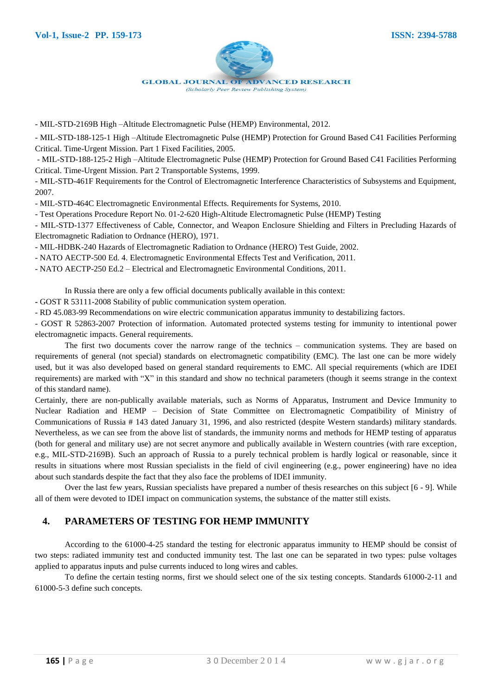

- MIL-STD-2169B High –Altitude Electromagnetic Pulse (HEMP) Environmental, 2012.

- MIL-STD-188-125-1 High –Altitude Electromagnetic Pulse (HEMP) Protection for Ground Based C41 Facilities Performing Critical. Time-Urgent Mission. Part 1 Fixed Facilities, 2005.

- MIL-STD-188-125-2 High –Altitude Electromagnetic Pulse (HEMP) Protection for Ground Based C41 Facilities Performing Critical. Time-Urgent Mission. Part 2 Transportable Systems, 1999.

- MIL-STD-461F Requirements for the Control of Electromagnetic Interference Characteristics of Subsystems and Equipment, 2007.

- MIL-STD-464C Electromagnetic Environmental Effects. Requirements for Systems, 2010.

- Test Operations Procedure Report No. 01-2-620 High-Altitude Electromagnetic Pulse (HEMP) Testing

- MIL-STD-1377 Effectiveness of Cable, Connector, and Weapon Enclosure Shielding and Filters in Precluding Hazards of Electromagnetic Radiation to Ordnance (HERO), 1971.

- MIL-HDBK-240 Hazards of Electromagnetic Radiation to Ordnance (HERO) Test Guide, 2002.

- NATO AECTP-500 Ed. 4. Electromagnetic Environmental Effects Test and Verification, 2011.

- NATO AECTP-250 Ed.2 – Electrical and Electromagnetic Environmental Conditions, 2011.

In Russia there are only a few official documents publically available in this context:

**-** GOST R 53111-2008 Stability of public communication system operation.

- RD 45.083-99 Recommendations on wire electric communication apparatus immunity to destabilizing factors.

- GOST R 52863-2007 Protection of information. Automated protected systems testing for immunity to intentional power electromagnetic impacts. General requirements.

The first two documents cover the narrow range of the technics – communication systems. They are based on requirements of general (not special) standards on electromagnetic compatibility (EMC). The last one can be more widely used, but it was also developed based on general standard requirements to EMC. All special requirements (which are IDEI requirements) are marked with "X" in this standard and show no technical parameters (though it seems strange in the context of this standard name).

Certainly, there are non-publically available materials, such as Norms of Apparatus, Instrument and Device Immunity to Nuclear Radiation and HEMP – Decision of State Committee on Electromagnetic Compatibility of Ministry of Communications of Russia # 143 dated January 31, 1996, and also restricted (despite Western standards) military standards. Nevertheless, as we can see from the above list of standards, the immunity norms and methods for HEMP testing of apparatus (both for general and military use) are not secret anymore and publically available in Western countries (with rare exception, e.g., MIL-STD-2169B). Such an approach of Russia to a purely technical problem is hardly logical or reasonable, since it results in situations where most Russian specialists in the field of civil engineering (e.g., power engineering) have no idea about such standards despite the fact that they also face the problems of IDEI immunity.

Over the last few years, Russian specialists have prepared a number of thesis researches on this subject [6 - 9]. While all of them were devoted to IDEI impact on communication systems, the substance of the matter still exists.

#### **4. PARAMETERS OF TESTING FOR HEMP IMMUNITY**

According to the 61000-4-25 standard the testing for electronic apparatus immunity to HEMP should be consist of two steps: radiated immunity test and conducted immunity test. The last one can be separated in two types: pulse voltages applied to apparatus inputs and pulse currents induced to long wires and cables.

To define the certain testing norms, first we should select one of the six testing concepts. Standards 61000-2-11 and 61000-5-3 define such concepts.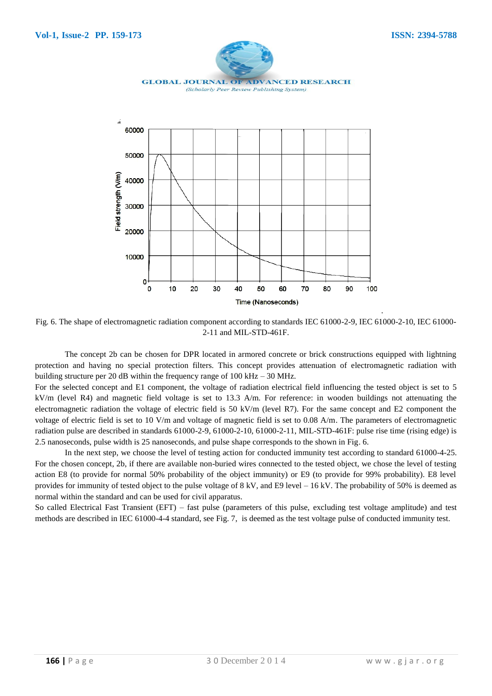Field strength (V/m)

30000

20000

10000

n  $\overline{0}$ 

 $10$ 

 $20$ 

30



Fig. 6. The shape of electromagnetic radiation component according to standards IEC 61000-2-9, IEC 61000-2-10, IEC 61000- 2-11 and MIL-STD-461F.

40

70

 $80$ 

90

60

50 Time (Nanoseconds)

The concept 2b can be chosen for DPR located in armored concrete or brick constructions equipped with lightning protection and having no special protection filters. This concept provides attenuation of electromagnetic radiation with building structure per 20 dB within the frequency range of  $100 \text{ kHz} - 30 \text{ MHz}$ .

For the selected concept and E1 component, the voltage of radiation electrical field influencing the tested object is set to 5 kV/m (level R4) and magnetic field voltage is set to 13.3 A/m. For reference: in wooden buildings not attenuating the electromagnetic radiation the voltage of electric field is 50 kV/m (level R7). For the same concept and E2 component the voltage of electric field is set to 10 V/m and voltage of magnetic field is set to 0.08 A/m. The parameters of electromagnetic radiation pulse are described in standards 61000-2-9, 61000-2-10, 61000-2-11, MIL-STD-461F: pulse rise time (rising edge) is 2.5 nanoseconds, pulse width is 25 nanoseconds, and pulse shape corresponds to the shown in Fig. 6.

In the next step, we choose the level of testing action for conducted immunity test according to standard 61000-4-25. For the chosen concept, 2b, if there are available non-buried wires connected to the tested object, we chose the level of testing action E8 (to provide for normal 50% probability of the object immunity) or E9 (to provide for 99% probability). E8 level provides for immunity of tested object to the pulse voltage of 8 kV, and E9 level – 16 kV. The probability of 50% is deemed as normal within the standard and can be used for civil apparatus.

So called Electrical Fast Transient (EFT) – fast pulse (parameters of this pulse, excluding test voltage amplitude) and test methods are described in IEC 61000-4-4 standard, see Fig. 7, is deemed as the test voltage pulse of conducted immunity test.

.

 $100$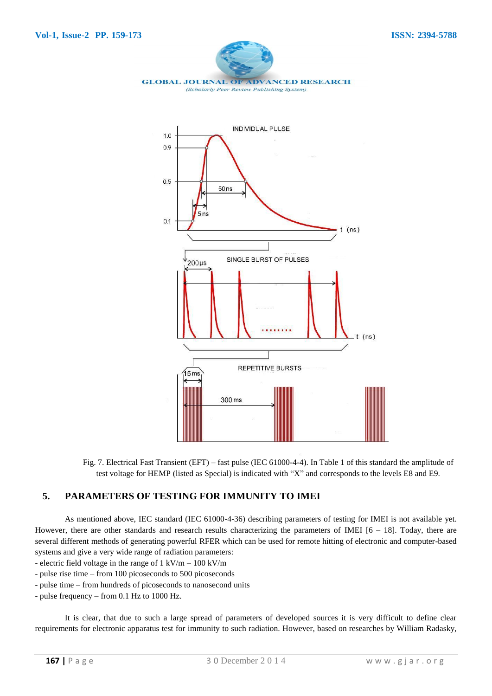



Fig. 7. Electrical Fast Transient (EFT) – fast pulse (IEC 61000-4-4). In Table 1 of this standard the amplitude of test voltage for HEMP (listed as Special) is indicated with "X" and corresponds to the levels E8 and E9.

#### **5. PARAMETERS OF TESTING FOR IMMUNITY TO IMEI**

As mentioned above, IEC standard (IEC 61000-4-36) describing parameters of testing for IMEI is not available yet. However, there are other standards and research results characterizing the parameters of IMEI  $[6 - 18]$ . Today, there are several different methods of generating powerful RFER which can be used for remote hitting of electronic and computer-based systems and give a very wide range of radiation parameters:

- electric field voltage in the range of  $1 \text{ kV/m} - 100 \text{ kV/m}$ 

- pulse rise time from 100 picoseconds to 500 picoseconds
- pulse time from hundreds of picoseconds to nanosecond units
- pulse frequency from 0.1 Hz to 1000 Hz.

It is clear, that due to such a large spread of parameters of developed sources it is very difficult to define clear requirements for electronic apparatus test for immunity to such radiation. However, based on researches by William Radasky,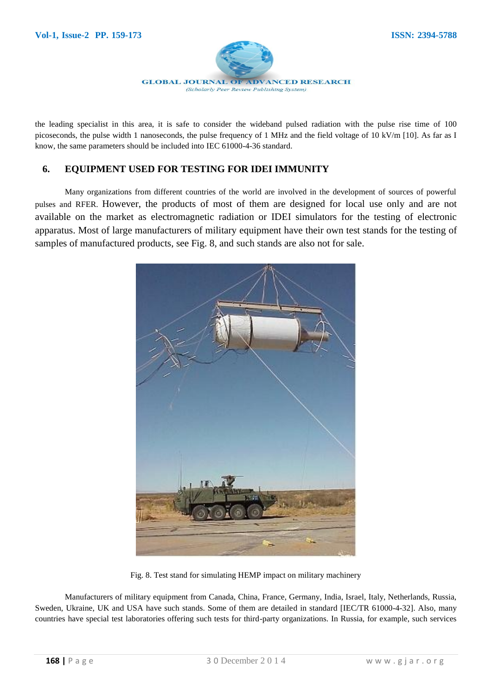

the leading specialist in this area, it is safe to consider the wideband pulsed radiation with the pulse rise time of 100 picoseconds, the pulse width 1 nanoseconds, the pulse frequency of 1 MHz and the field voltage of 10 kV/m [10]. As far as I know, the same parameters should be included into IEC 61000-4-36 standard.

## **6. EQUIPMENT USED FOR TESTING FOR IDEI IMMUNITY**

Many organizations from different countries of the world are involved in the development of sources of powerful pulses and RFER. However, the products of most of them are designed for local use only and are not available on the market as electromagnetic radiation or IDEI simulators for the testing of electronic apparatus. Most of large manufacturers of military equipment have their own test stands for the testing of samples of manufactured products, see Fig. 8, and such stands are also not for sale.



Fig. 8. Test stand for simulating HEMP impact on military machinery

Manufacturers of military equipment from Canada, China, France, Germany, India, Israel, Italy, Netherlands, Russia, Sweden, Ukraine, UK and USA have such stands. Some of them are detailed in standard [IEC/TR 61000-4-32]. Also, many countries have special test laboratories offering such tests for third-party organizations. In Russia, for example, such services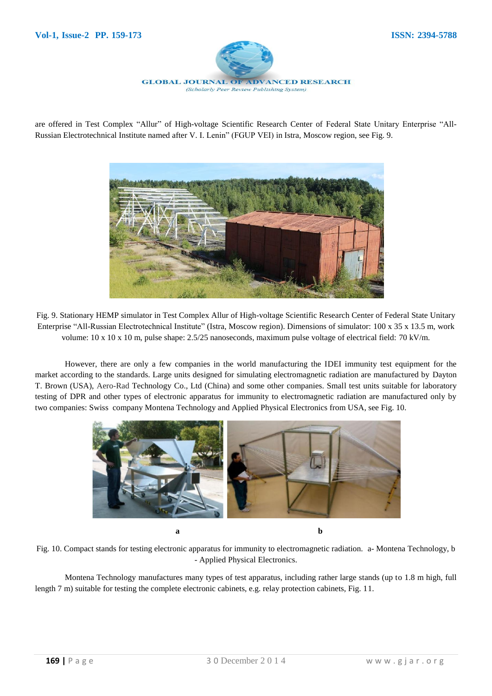

are offered in Test Complex "Allur" of High-voltage Scientific Research Center of Federal State Unitary Enterprise "All-Russian Electrotechnical Institute named after V. I. Lenin" (FGUP VEI) in Istra, Moscow region, see Fig. 9.



Fig. 9. Stationary HEMP simulator in Test Complex Allur of High-voltage Scientific Research Center of Federal State Unitary Enterprise ―All-Russian Electrotechnical Institute‖ (Istra, Moscow region). Dimensions of simulator: 100 х 35 х 13.5 m, work volume: 10 x 10 x 10 m, pulse shape: 2.5/25 nanoseconds, maximum pulse voltage of electrical field: 70 kV/m.

However, there are only a few companies in the world manufacturing the IDEI immunity test equipment for the market according to the standards. Large units designed for simulating electromagnetic radiation are manufactured by Dayton T. Brown (USA), Aero-Rad Technology Co., Ltd (China) and some other companies. Small test units suitable for laboratory testing of DPR and other types of electronic apparatus for immunity to electromagnetic radiation are manufactured only by two companies: Swiss company Montena Technology and Applied Physical Electronics from USA, see Fig. 10.



Fig. 10. Compact stands for testing electronic apparatus for immunity to electromagnetic radiation. a- Montena Technology, b - Applied Physical Electronics.

Montena Technology manufactures many types of test apparatus, including rather large stands (up to 1.8 m high, full length 7 m) suitable for testing the complete electronic cabinets, e.g. relay protection cabinets, Fig. 11.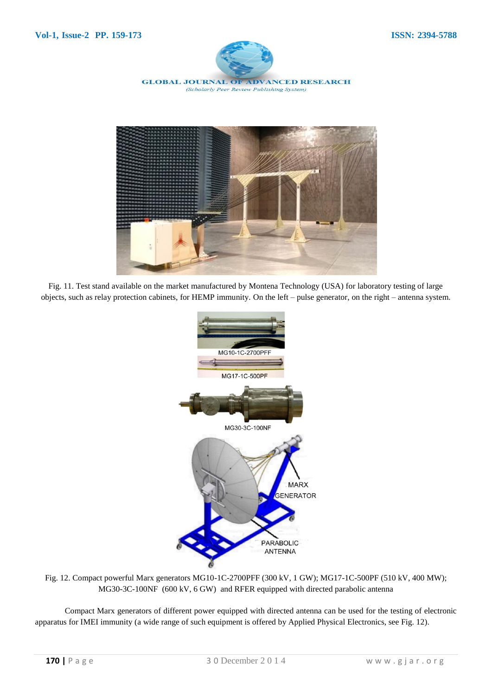



Fig. 11. Test stand available on the market manufactured by Montena Technology (USA) for laboratory testing of large objects, such as relay protection cabinets, for HEMP immunity. On the left – pulse generator, on the right – antenna system.



Fig. 12. Compact powerful Marx generators MG10-1C-2700PFF (300 kV, 1 GW); MG17-1C-500PF (510 kV, 400 MW); MG30-3C-100NF (600 kV, 6 GW) and RFER equipped with directed parabolic antenna

Compact Marx generators of different power equipped with directed antenna can be used for the testing of electronic apparatus for IMEI immunity (a wide range of such equipment is offered by Applied Physical Electronics, see Fig. 12).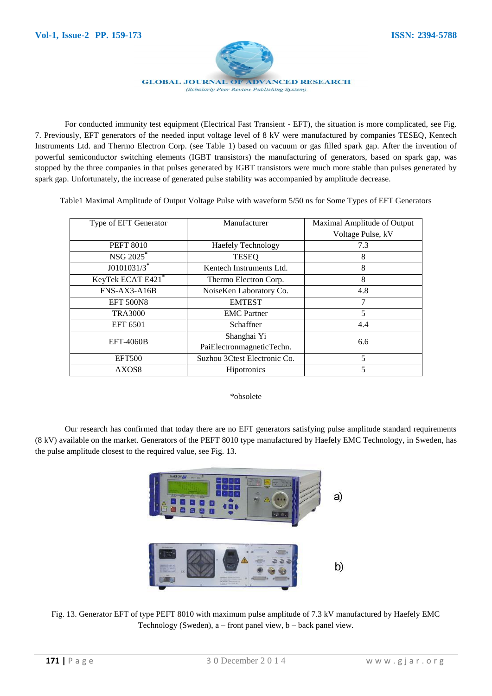

For conducted immunity test equipment (Electrical Fast Transient - EFT), the situation is more complicated, see Fig. 7. Previously, EFT generators of the needed input voltage level of 8 kV were manufactured by companies TESEQ, Kentech Instruments Ltd. and Thermo Electron Corp. (see Table 1) based on vacuum or gas filled spark gap. After the invention of powerful semiconductor switching elements (IGBT transistors) the manufacturing of generators, based on spark gap, was stopped by the three companies in that pulses generated by IGBT transistors were much more stable than pulses generated by spark gap. Unfortunately, the increase of generated pulse stability was accompanied by amplitude decrease.

Table1 Maximal Amplitude of Output Voltage Pulse with waveform 5/50 ns for Some Types of EFT Generators

| Type of EFT Generator     | Manufacturer                 | Maximal Amplitude of Output |
|---------------------------|------------------------------|-----------------------------|
|                           |                              | Voltage Pulse, kV           |
| <b>PEFT 8010</b>          | <b>Haefely Technology</b>    | 7.3                         |
| NSG 2025 <sup>*</sup>     | <b>TESEQ</b>                 | 8                           |
| $J0101031/3$ <sup>*</sup> | Kentech Instruments Ltd.     | 8                           |
| KeyTek ECAT E421*         | Thermo Electron Corp.        | 8                           |
| FNS-AX3-A16B              | NoiseKen Laboratory Co.      | 4.8                         |
| <b>EFT 500N8</b>          | <b>EMTEST</b>                | 7                           |
| <b>TRA3000</b>            | <b>EMC</b> Partner           | 5                           |
| EFT 6501                  | Schaffner                    | 4.4                         |
| <b>EFT-4060B</b>          | Shanghai Yi                  | 6.6                         |
|                           | PaiElectronmagneticTechn.    |                             |
| <b>EFT500</b>             | Suzhou 3Ctest Electronic Co. | 5                           |
| AXOS <sub>8</sub>         | Hipotronics                  | 5                           |

\*obsolete

Our research has confirmed that today there are no EFT generators satisfying pulse amplitude standard requirements (8 kV) available on the market. Generators of the PEFT 8010 type manufactured by Haefely EMC Technology, in Sweden, has the pulse amplitude closest to the required value, see Fig. 13.



Fig. 13. Generator EFT of type PEFT 8010 with maximum pulse amplitude of 7.3 kV manufactured by Haefely EMC Technology (Sweden),  $a$  – front panel view,  $b$  – back panel view.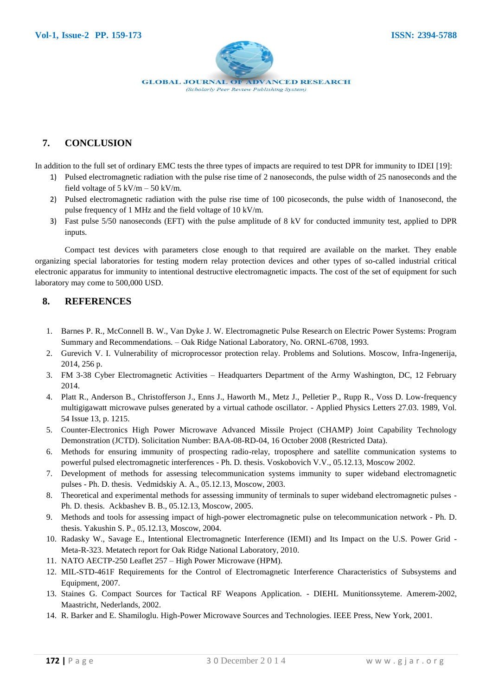

## **7. CONCLUSION**

In addition to the full set of ordinary EMC tests the three types of impacts are required to test DPR for immunity to IDEI [19]:

- 1) Pulsed electromagnetic radiation with the pulse rise time of 2 nanoseconds, the pulse width of 25 nanoseconds and the field voltage of  $5 \text{ kV/m} - 50 \text{ kV/m}$ .
- 2) Pulsed electromagnetic radiation with the pulse rise time of 100 picoseconds, the pulse width of 1nanosecond, the pulse frequency of 1 MHz and the field voltage of 10 kV/m.
- 3) Fast pulse 5/50 nanoseconds (EFT) with the pulse amplitude of 8 kV for conducted immunity test, applied to DPR inputs.

Compact test devices with parameters close enough to that required are available on the market. They enable organizing special laboratories for testing modern relay protection devices and other types of so-called industrial critical electronic apparatus for immunity to intentional destructive electromagnetic impacts. The cost of the set of equipment for such laboratory may come to 500,000 USD.

## **8. REFERENCES**

- 1. Barnes P. R., McConnell B. W., Van Dyke J. W. Electromagnetic Pulse Research on Electric Power Systems: Program Summary and Recommendations. – Oak Ridge National Laboratory, No. ORNL-6708, 1993.
- 2. Gurevich V. I. Vulnerability of microprocessor protection relay. Problems and Solutions. Moscow, Infra-Ingenerija, 2014, 256 p.
- 3. FM 3-38 Cyber Electromagnetic Activities Headquarters Department of the Army Washington, DC, 12 February 2014.
- 4. Platt R., Anderson B., Christofferson J., Enns J., Haworth M., Metz J., Pelletier P., Rupp R., Voss D. Low-frequency multigigawatt microwave pulses generated by a virtual cathode oscillator. - Applied Physics Letters 27.03. 1989, Vol. 54 Issue 13, p. 1215.
- 5. Counter-Electronics High Power Microwave Advanced Missile Project (CHAMP) Joint Capability Technology Demonstration (JCTD). Solicitation Number: BAA-08-RD-04, 16 October 2008 (Restricted Data).
- 6. Methods for ensuring immunity of prospecting radio-relay, troposphere and satellite communication systems to powerful pulsed electromagnetic interferences - Ph. D. thesis. Voskobovich V.V., 05.12.13, Moscow 2002.
- 7. Development of methods for assessing telecommunication systems immunity to super wideband electromagnetic pulses - Ph. D. thesis. Vedmidskiy A. A., 05.12.13, Moscow, 2003.
- 8. Theoretical and experimental methods for assessing immunity of terminals to super wideband electromagnetic pulses Ph. D. thesis. Ackbashev B. B., 05.12.13, Moscow, 2005.
- 9. Methods and tools for assessing impact of high-power electromagnetic pulse on telecommunication network Ph. D. thesis. Yakushin S. P., 05.12.13, Moscow, 2004.
- 10. Radasky W., Savage E., Intentional Electromagnetic Interference (IEMI) and Its Impact on the U.S. Power Grid Meta-R-323. Metatech report for Oak Ridge National Laboratory, 2010.
- 11. NATO AECTP-250 Leaflet 257 High Power Microwave (HPM).
- 12. MIL-STD-461F Requirements for the Control of Electromagnetic Interference Characteristics of Subsystems and Equipment, 2007.
- 13. Staines G. Compact Sources for Tactical RF Weapons Application. DIEHL Munitionssyteme. Amerem-2002, Maastricht, Nederlands, 2002.
- 14. R. Barker and E. Shamiloglu. High-Power Microwave Sources and Technologies. IEEE Press, New York, 2001.